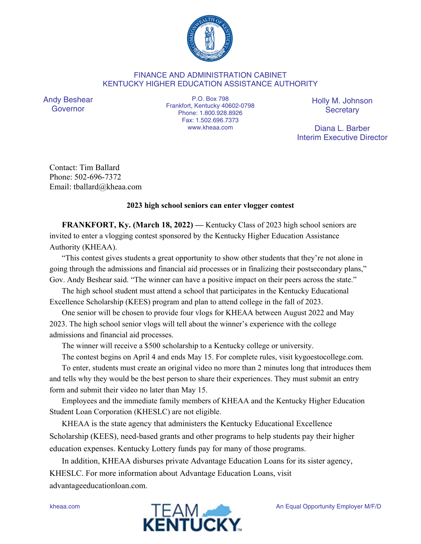

## FINANCE AND ADMINISTRATION CABINET KENTUCKY HIGHER EDUCATION ASSISTANCE AUTHORITY

Andy Beshear Governor

P.O. Box 798 Frankfort, Kentucky 40602-0798 Phone: 1.800.928.8926 Fax: 1.502.696.7373 www.kheaa.com

Holly M. Johnson **Secretary** 

Diana L. Barber Interim Executive Director

Contact: Tim Ballard Phone: 502-696-7372 Email: tballard@kheaa.com

## **2023 high school seniors can enter vlogger contest**

**FRANKFORT, Ky. (March 18, 2022) —** Kentucky Class of 2023 high school seniors are invited to enter a vlogging contest sponsored by the Kentucky Higher Education Assistance Authority (KHEAA).

"This contest gives students a great opportunity to show other students that they're not alone in going through the admissions and financial aid processes or in finalizing their postsecondary plans," Gov. Andy Beshear said. "The winner can have a positive impact on their peers across the state."

The high school student must attend a school that participates in the Kentucky Educational Excellence Scholarship (KEES) program and plan to attend college in the fall of 2023.

One senior will be chosen to provide four vlogs for KHEAA between August 2022 and May 2023. The high school senior vlogs will tell about the winner's experience with the college admissions and financial aid processes.

The winner will receive a \$500 scholarship to a Kentucky college or university.

The contest begins on April 4 and ends May 15. For complete rules, visit kygoestocollege.com.

To enter, students must create an original video no more than 2 minutes long that introduces them and tells why they would be the best person to share their experiences. They must submit an entry form and submit their video no later than May 15.

Employees and the immediate family members of KHEAA and the Kentucky Higher Education Student Loan Corporation (KHESLC) are not eligible.

KHEAA is the state agency that administers the Kentucky Educational Excellence Scholarship (KEES), need-based grants and other programs to help students pay their higher education expenses. Kentucky Lottery funds pay for many of those programs.

In addition, KHEAA disburses private Advantage Education Loans for its sister agency, KHESLC. For more information about Advantage Education Loans, visit advantageeducationloan.com.